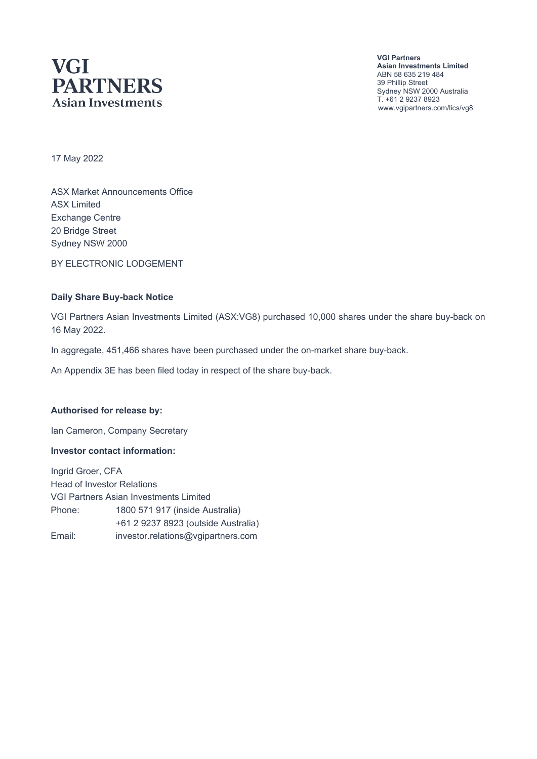# **VGI PARTNERS Asian Investments**

**VGI Partners Asian Investments Limited** ABN 58 635 219 484 39 Phillip Street Sydney NSW 2000 Australia T. +61 2 9237 8923 www.vgipartners.com/lics/vg8

17 May 2022

ASX Market Announcements Office ASX Limited Exchange Centre 20 Bridge Street Sydney NSW 2000

BY ELECTRONIC LODGEMENT

#### **Daily Share Buy-back Notice**

VGI Partners Asian Investments Limited (ASX:VG8) purchased 10,000 shares under the share buy-back on 16 May 2022.

In aggregate, 451,466 shares have been purchased under the on-market share buy-back.

An Appendix 3E has been filed today in respect of the share buy-back.

#### **Authorised for release by:**

Ian Cameron, Company Secretary

#### **Investor contact information:**

Ingrid Groer, CFA Head of Investor Relations VGI Partners Asian Investments Limited Phone: 1800 571 917 (inside Australia) +61 2 9237 8923 (outside Australia) Email: investor.relations@vgipartners.com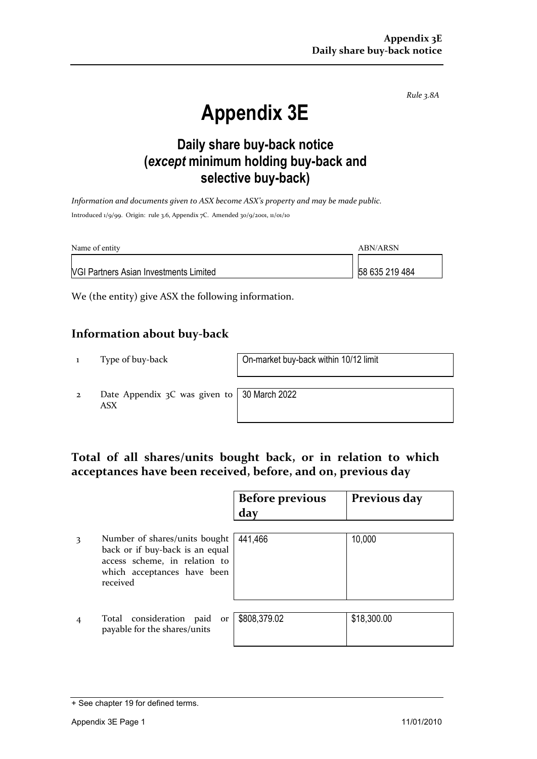*Rule 3.8A*

# **Appendix 3E**

# **Daily share buy-back notice (***except* **minimum holding buy-back and selective buy-back)**

*Information and documents given to ASX become ASX's property and may be made public.* Introduced 1/9/99. Origin: rule 3.6, Appendix 7C. Amended 30/9/2001, 11/01/10

| Name of entity                                | ABN/ARSN       |
|-----------------------------------------------|----------------|
| <b>VGI Partners Asian Investments Limited</b> | 58 635 219 484 |

We (the entity) give ASX the following information.

### **Information about buy-back**

1 Type of buy-back On-market buy-back within 10/12 limit

2 Date Appendix 3C was given to ASX

30 March 2022

## **Total of all shares/units bought back, or in relation to which acceptances have been received, before, and on, previous day**

|                                                                                                                                              | <b>Before previous</b><br>day | Previous day |
|----------------------------------------------------------------------------------------------------------------------------------------------|-------------------------------|--------------|
| Number of shares/units bought<br>back or if buy-back is an equal<br>access scheme, in relation to<br>which acceptances have been<br>received | 441,466                       | 10,000       |
| Total consideration paid<br>or<br>payable for the shares/units                                                                               | \$808,379.02                  | \$18,300.00  |

<sup>+</sup> See chapter 19 for defined terms.